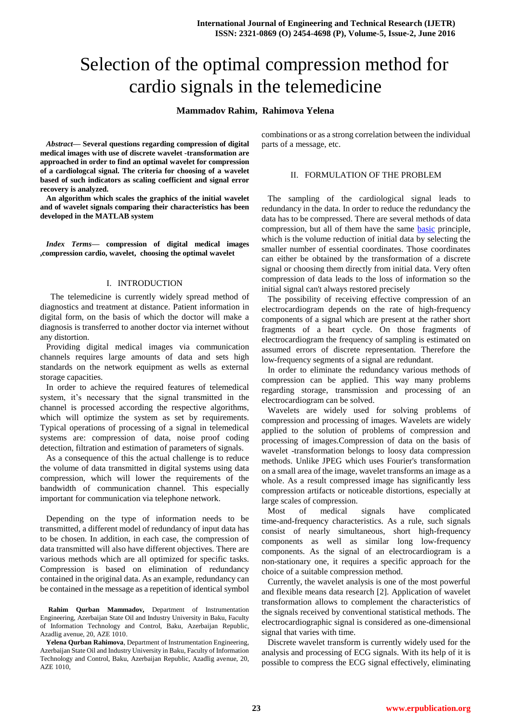# Selection of the optimal compression method for cardio signals in the telemedicine

## **Mammadov Rahim, Rahimova Yelena**

*Abstract***— Several questions regarding compression of digital medical images with use of discrete wavelet -transformation are approached in order to find an optimal wavelet for compression of a cardiologcal signal. The criteria for choosing of a wavelet based of such indicators as scaling coefficient and signal error recovery is analyzed.**

**An algorithm which scales the graphics of the initial wavelet and of wavelet signals comparing their characteristics has been developed in the MATLAB system**

*Index Terms***— compression of digital medical images ,compression cardio, wavelet, choosing the optimal wavelet**

#### I. INTRODUCTION

 The telemedicine is currently widely spread method of diagnostics and treatment at distance. Patient information in digital form, on the basis of which the doctor will make a diagnosis is transferred to another doctor via internet without any distortion.

Providing digital medical images via communication channels requires large amounts of data and sets high standards on the network equipment as wells as external storage capacities.

In order to achieve the required features of telemedical system, it's necessary that the signal transmitted in the channel is processed according the respective algorithms, which will optimize the system as set by requirements. Typical operations of processing of a signal in telemedical systems are: compression of data, noise proof coding detection, filtration and estimation of parameters of signals.

As a consequence [of](http://dict.leo.org/ende/index_de.html#/search=of&searchLoc=0&resultOrder=basic&multiwordShowSingle=on) this the actual challenge is to reduce the volume of data transmitted in digital systems using data compression, which will lower the requirements of the bandwidth of communication channel. This especially important for communication via telephone network.

Depending on the type of information needs to be transmitted, a different model of redundancy of input data has to be chosen. In addition, in each case, the compression of data transmitted will also have different objectives. There are various methods which are all optimized for specific tasks. Compression is based on elimination of redundancy contained in the original data. As an example, redundancy can be contained in the message as a repetition of identical symbol

**Rahim Qurban Mammadov,** Department of Instrumentation Engineering, Azerbaijan State Oil and Industry University in Baku, Faculty of Information Technology and Control, Baku, Azerbaijan Republic, Azadlig avenue, 20, AZE 1010.

**Yelena Qurban Rahimova**, Department of Instrumentation Engineering, Azerbaijan State Oil and Industry University in Baku, Faculty of Information Technology and Control, Baku, Azerbaijan Republic, Azadlig avenue, 20, AZE 1010,

combinations or as a strong correlation between the individual parts of a message, etc.

### II. FORMULATION OF THE PROBLEM

The sampling of the cardiological signal leads to redundancy in the data. In order to reduce the redundancy the data has to be compressed. There are several methods of data compression, but all of them have the same [basic](http://dict.leo.org/ende/index_de.html#/search=basic&searchLoc=0&resultOrder=basic&multiwordShowSingle=on) principle, which is the volume reduction of initial data by selecting the smaller number of essential coordinates. Those coordinates can either be obtained by the transformation of a discrete signal or choosing them directly from initial data. Very often compression of data leads to the loss of information so the initial signal can't always restored precisely

The possibility of receiving effective compression of an electrocardiogram depends on the rate of high-frequency components of a signal which are present at the rather short fragments of a heart cycle. On those fragments of electrocardiogram the frequency of sampling is estimated on assumed errors of discrete representation. Therefore the low-frequency segments of a signal are redundant.

In order to eliminate the redundancy various methods of compression can be applied. This way many problems regarding storage, transmission and processing of an electrocardiogram can be solved.

Wavelets are widely used for solving problems of compression and processing of images. Wavelets are widely applied to the solution of problems of compression and processing of images.Compression of data on the basis of wavelet -transformation belongs to loosy data compression methods. Unlike JPEG which uses Fourier's transformation on a small area of the image, wavelet transforms an image as a whole. As a result compressed image has significantly less compression artifacts or noticeable distortions, especially at large scales of compression.

Most of medical signals have complicated time-and-frequency characteristics. As a rule, such signals consist of nearly simultaneous, short high-frequency components as well as similar long low-frequency components. As the signal of an electrocardiogram is a non-stationary one, it requires a specific approach for the choice of a suitable compression method.

Currently, the wavelet analysis is one of the most powerful and flexible means data research [2]. Application of wavelet transformation allows to complement the characteristics of the signals received by conventional statistical methods. The electrocardiographic signal is considered as one-dimensional signal that varies with time.

Discrete wavelet transform is currently widely used for the analysis and processing of ECG signals. With its help of it is possible to compress the ECG signal effectively, eliminating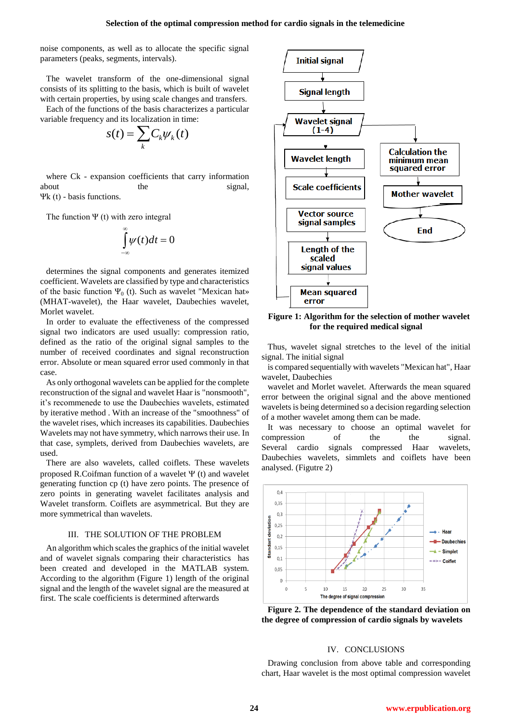noise components, as well as to allocate the specific signal parameters (peaks, segments, intervals).

The wavelet transform of the one-dimensional signal consists of its splitting to the basis, which is built of wavelet with certain properties, by using scale changes and transfers.

Each of the functions of the basis characterizes a particular variable frequency and its localization in time:

$$
s(t) = \sum_{k} C_{k} \psi_{k}(t)
$$

where Ck - expansion coefficients that carry information about the signal, Ψk (t) - basis functions.

The function  $\Psi$  (t) with zero integral

$$
\int_{-\infty}^{\infty} \psi(t) dt = 0
$$

determines the signal components and generates itemized coefficient. Wavelets are classified by type and characteristics of the basic function  $\Psi_0$  (t). Such as wavelet "Mexican hat» (MHAT-wavelet), the Haar wavelet, Daubechies wavelet, Morlet wavelet.

In order to evaluate the effectiveness of the compressed signal two indicators are used usually: compression ratio, defined as the ratio of the original signal samples to the number of received coordinates and signal reconstruction error. Absolute or mean squared error used commonly in that case.

As only orthogonal wavelets can be applied for the complete reconstruction of the signal and wavelet Haar is "nonsmooth", it's recommenede to use the Daubechies wavelets, estimated by iterative method . With an increase of the "smoothness" of the wavelet rises, which increases its capabilities. Daubechies Wavelets may not have symmetry, which narrows their use. In that case, symplets, derived from Daubechies wavelets, are used.

There are also wavelets, called coiflets. These wavelets proposed R.Coifman function of a wavelet  $\Psi$  (t) and wavelet generating function cp (t) have zero points. The presence of zero points in generating wavelet facilitates analysis and Wavelet transform. Coiflets are asymmetrical. But they are more symmetrical than wavelets.

#### III. THE SOLUTION OF THE PROBLEM

An algorithm which scales the graphics of the initial wavelet and of wavelet signals comparing their characteristics has been created and developed in the MATLAB system. According to the algorithm (Figure 1) length of the original signal and the length of the wavelet signal are the measured at first. The scale coefficients is determined afterwards



**Figure 1: Algorithm for the selection of mother wavelet for the required medical signal**

Thus, wavelet signal stretches to the level of the initial signal. The initial signal

is compared sequentially with wavelets "Mexican hat", Haar wavelet, Daubechies

wavelet and Morlet wavelet. Afterwards the mean squared error between the original signal and the above mentioned wavelets is being determined so a decision regarding selection of a mother wavelet among them can be made.

It was necessary to choose an optimal wavelet for compression of the the signal. Several cardio signals compressed Haar wavelets, Daubechies wavelets, simmlets and coiflets have been analysed. (Figutre 2)



**Figure 2. The dependence of the standard deviation on the degree of compression of cardio signals by wavelets**

#### IV. CONCLUSIONS

Drawing conclusion from above table and corresponding chart, Haar wavelet is the most optimal compression wavelet